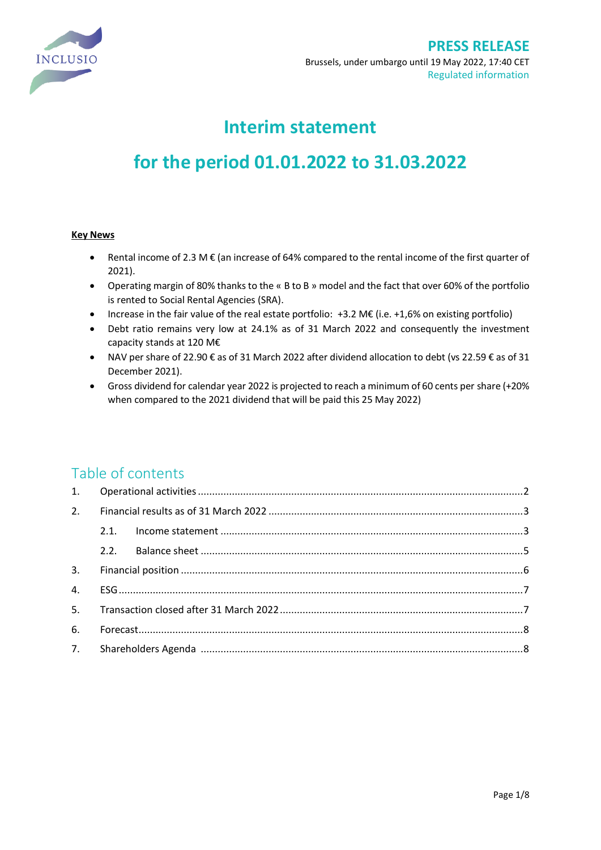

# **Interim statement**

# **for the period 01.01.2022 to 31.03.2022**

### **Key News**

- Rental income of 2.3 M € (an increase of 64% compared to the rental income of the first quarter of 2021).
- Operating margin of 80% thanks to the « B to B » model and the fact that over 60% of the portfolio is rented to Social Rental Agencies (SRA).
- Increase in the fair value of the real estate portfolio: +3.2 M€ (i.e. +1,6% on existing portfolio)
- Debt ratio remains very low at 24.1% as of 31 March 2022 and consequently the investment capacity stands at 120 M€
- NAV per share of 22.90 € as of 31 March 2022 after dividend allocation to debt (vs 22.59 € as of 31 December 2021).
- Gross dividend for calendar year 2022 is projected to reach a minimum of 60 cents per share (+20% when compared to the 2021 dividend that will be paid this 25 May 2022)

# Table of contents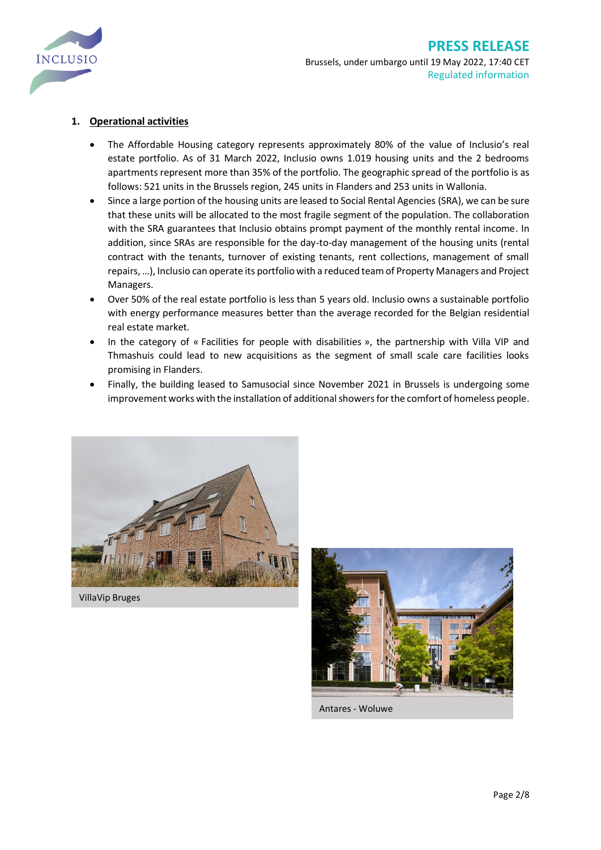

## <span id="page-1-0"></span>**1. Operational activities**

- The Affordable Housing category represents approximately 80% of the value of Inclusio's real estate portfolio. As of 31 March 2022, Inclusio owns 1.019 housing units and the 2 bedrooms apartments represent more than 35% of the portfolio. The geographic spread of the portfolio is as follows: 521 units in the Brussels region, 245 units in Flanders and 253 units in Wallonia.
- Since a large portion of the housing units are leased to Social Rental Agencies (SRA), we can be sure that these units will be allocated to the most fragile segment of the population. The collaboration with the SRA guarantees that Inclusio obtains prompt payment of the monthly rental income. In addition, since SRAs are responsible for the day-to-day management of the housing units (rental contract with the tenants, turnover of existing tenants, rent collections, management of small repairs, …), Inclusio can operate its portfolio with a reduced team of Property Managers and Project Managers.
- Over 50% of the real estate portfolio is less than 5 years old. Inclusio owns a sustainable portfolio with energy performance measures better than the average recorded for the Belgian residential real estate market.
- In the category of « Facilities for people with disabilities », the partnership with Villa VIP and Thmashuis could lead to new acquisitions as the segment of small scale care facilities looks promising in Flanders.
- Finally, the building leased to Samusocial since November 2021 in Brussels is undergoing some improvement works with the installation of additional showers for the comfort of homeless people.



VillaVip Bruges



Antares - Woluwe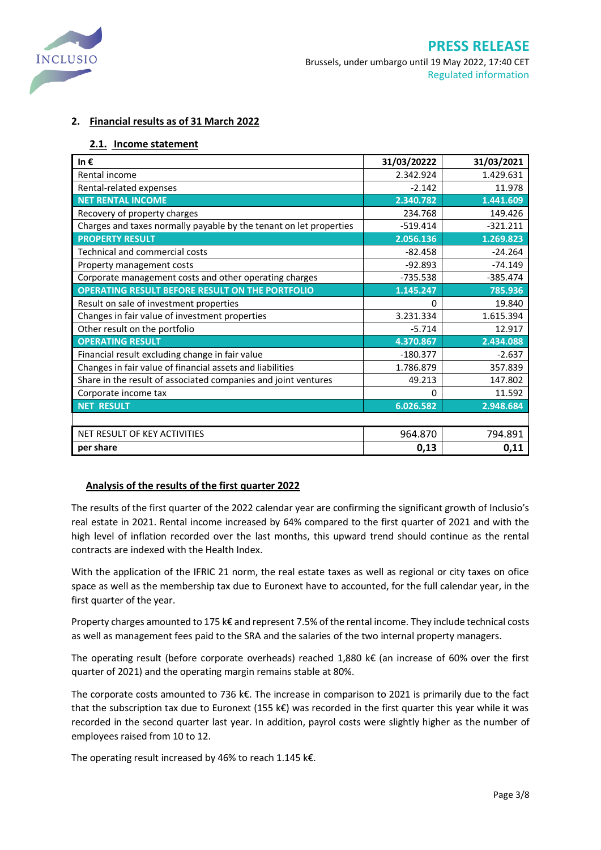

### <span id="page-2-0"></span>**2. Financial results as of 31 March 2022**

### <span id="page-2-1"></span>**2.1. Income statement**

| In€                                                                | 31/03/20222 | 31/03/2021 |
|--------------------------------------------------------------------|-------------|------------|
| Rental income                                                      | 2.342.924   | 1.429.631  |
| Rental-related expenses                                            | $-2.142$    | 11.978     |
| <b>NET RENTAL INCOME</b>                                           | 2.340.782   | 1.441.609  |
| Recovery of property charges                                       | 234.768     | 149.426    |
| Charges and taxes normally payable by the tenant on let properties | $-519.414$  | $-321.211$ |
| <b>PROPERTY RESULT</b>                                             | 2.056.136   | 1.269.823  |
| <b>Technical and commercial costs</b>                              | $-82.458$   | $-24.264$  |
| Property management costs                                          | $-92.893$   | $-74.149$  |
| Corporate management costs and other operating charges             | $-735.538$  | $-385.474$ |
| <b>OPERATING RESULT BEFORE RESULT ON THE PORTFOLIO</b>             | 1.145.247   | 785.936    |
| Result on sale of investment properties                            | 0           | 19.840     |
| Changes in fair value of investment properties                     | 3.231.334   | 1.615.394  |
| Other result on the portfolio                                      | $-5.714$    | 12.917     |
| <b>OPERATING RESULT</b>                                            | 4.370.867   | 2.434.088  |
| Financial result excluding change in fair value                    | $-180.377$  | $-2.637$   |
| Changes in fair value of financial assets and liabilities          | 1.786.879   | 357.839    |
| Share in the result of associated companies and joint ventures     | 49.213      | 147.802    |
| Corporate income tax                                               | 0           | 11.592     |
| <b>NET RESULT</b>                                                  | 6.026.582   | 2.948.684  |
|                                                                    |             |            |
| NET RESULT OF KEY ACTIVITIES                                       | 964.870     | 794.891    |
| per share                                                          | 0,13        | 0,11       |

### **Analysis of the results of the first quarter 2022**

The results of the first quarter of the 2022 calendar year are confirming the significant growth of Inclusio's real estate in 2021. Rental income increased by 64% compared to the first quarter of 2021 and with the high level of inflation recorded over the last months, this upward trend should continue as the rental contracts are indexed with the Health Index.

With the application of the IFRIC 21 norm, the real estate taxes as well as regional or city taxes on ofice space as well as the membership tax due to Euronext have to accounted, for the full calendar year, in the first quarter of the year.

Property charges amounted to 175 k€ and represent 7.5% of the rental income. They include technical costs as well as management fees paid to the SRA and the salaries of the two internal property managers.

The operating result (before corporate overheads) reached 1,880 k€ (an increase of 60% over the first quarter of 2021) and the operating margin remains stable at 80%.

The corporate costs amounted to 736 k€. The increase in comparison to 2021 is primarily due to the fact that the subscription tax due to Euronext (155 k€) was recorded in the first quarter this year while it was recorded in the second quarter last year. In addition, payrol costs were slightly higher as the number of employees raised from 10 to 12.

The operating result increased by 46% to reach 1.145 k€.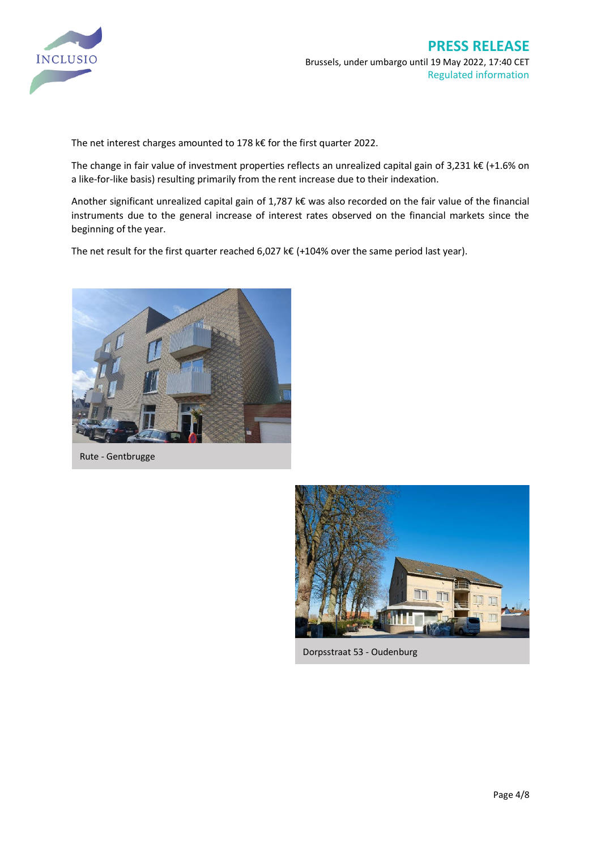

The net interest charges amounted to 178 k€ for the first quarter 2022.

The change in fair value of investment properties reflects an unrealized capital gain of 3,231 k€ (+1.6% on a like-for-like basis) resulting primarily from the rent increase due to their indexation.

Another significant unrealized capital gain of 1,787 k€ was also recorded on the fair value of the financial instruments due to the general increase of interest rates observed on the financial markets since the beginning of the year.

The net result for the first quarter reached 6,027 k€ (+104% over the same period last year).



Rute - Gentbrugge



Dorpsstraat 53 - Oudenburg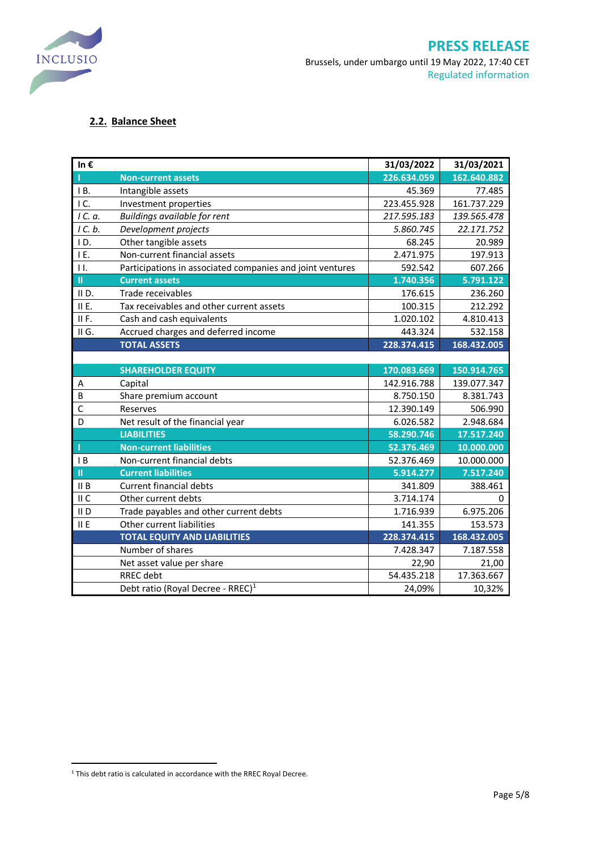

# <span id="page-4-0"></span>**2.2. Balance Sheet**

| In€              |                                                           | 31/03/2022  | 31/03/2021  |
|------------------|-----------------------------------------------------------|-------------|-------------|
|                  | <b>Non-current assets</b>                                 | 226.634.059 | 162.640.882 |
| B.               | Intangible assets                                         | 45.369      | 77.485      |
| IC.              | Investment properties                                     | 223.455.928 | 161.737.229 |
| 1C. a.           | Buildings available for rent                              | 217.595.183 | 139.565.478 |
| 1 C. b.          | Development projects                                      | 5.860.745   | 22.171.752  |
| ID.              | Other tangible assets                                     | 68.245      | 20.989      |
| IE.              | Non-current financial assets                              | 2.471.975   | 197.913     |
| 11.              | Participations in associated companies and joint ventures | 592.542     | 607.266     |
| $\mathbf{u}$     | <b>Current assets</b>                                     | 1.740.356   | 5.791.122   |
| IID.             | Trade receivables                                         | 176.615     | 236.260     |
| II E.            | Tax receivables and other current assets                  | 100.315     | 212.292     |
| IIF.             | Cash and cash equivalents                                 | 1.020.102   | 4.810.413   |
| II G.            | Accrued charges and deferred income                       | 443.324     | 532.158     |
|                  | <b>TOTAL ASSETS</b>                                       | 228.374.415 | 168.432.005 |
|                  |                                                           |             |             |
|                  | <b>SHAREHOLDER EQUITY</b>                                 | 170.083.669 | 150.914.765 |
| Α                | Capital                                                   | 142.916.788 | 139.077.347 |
| B                | Share premium account                                     | 8.750.150   | 8.381.743   |
| $\mathsf{C}$     | Reserves                                                  | 12.390.149  | 506.990     |
| D                | Net result of the financial year                          | 6.026.582   | 2.948.684   |
|                  | <b>LIABILITIES</b>                                        | 58.290.746  | 17.517.240  |
| п                | <b>Non-current liabilities</b>                            | 52.376.469  | 10.000.000  |
| $\overline{1}$ B | Non-current financial debts                               | 52.376.469  | 10.000.000  |
| П                | <b>Current liabilities</b>                                | 5.914.277   | 7.517.240   |
| II B             | <b>Current financial debts</b>                            | 341.809     | 388.461     |
| II C             | Other current debts                                       | 3.714.174   | 0           |
| II <sub>D</sub>  | Trade payables and other current debts                    | 1.716.939   | 6.975.206   |
| II E             | Other current liabilities                                 | 141.355     | 153.573     |
|                  | <b>TOTAL EQUITY AND LIABILITIES</b>                       | 228.374.415 | 168.432.005 |
|                  | Number of shares                                          | 7.428.347   | 7.187.558   |
|                  | Net asset value per share                                 | 22,90       | 21,00       |
|                  | <b>RREC</b> debt                                          | 54.435.218  | 17.363.667  |
|                  | Debt ratio (Royal Decree - RREC) <sup>1</sup>             | 24,09%      | 10,32%      |

<sup>&</sup>lt;sup>1</sup> This debt ratio is calculated in accordance with the RREC Royal Decree.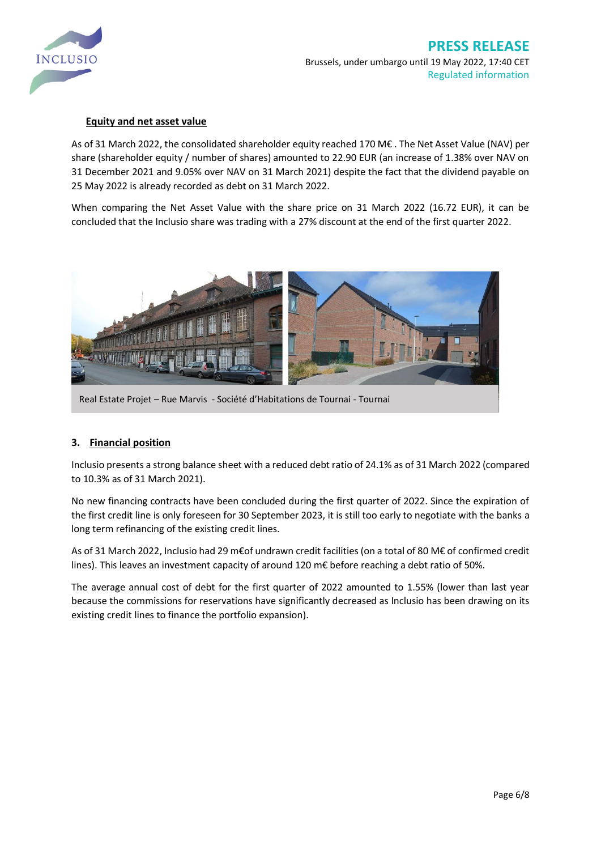

### **Equity and net asset value**

As of 31 March 2022, the consolidated shareholder equity reached 170 M€ . The Net Asset Value (NAV) per share (shareholder equity / number of shares) amounted to 22.90 EUR (an increase of 1.38% over NAV on 31 December 2021 and 9.05% over NAV on 31 March 2021) despite the fact that the dividend payable on 25 May 2022 is already recorded as debt on 31 March 2022.

When comparing the Net Asset Value with the share price on 31 March 2022 (16.72 EUR), it can be concluded that the Inclusio share was trading with a 27% discount at the end of the first quarter 2022.



Real Estate Projet – Rue Marvis - Société d'Habitations de Tournai - Tournai

### <span id="page-5-0"></span>**3. Financial position**

Inclusio presents a strong balance sheet with a reduced debt ratio of 24.1% as of 31 March 2022 (compared to 10.3% as of 31 March 2021).

No new financing contracts have been concluded during the first quarter of 2022. Since the expiration of the first credit line is only foreseen for 30 September 2023, it is still too early to negotiate with the banks a long term refinancing of the existing credit lines.

As of 31 March 2022, Inclusio had 29 m€of undrawn credit facilities (on a total of 80 M€ of confirmed credit lines). This leaves an investment capacity of around 120 m€ before reaching a debt ratio of 50%.

The average annual cost of debt for the first quarter of 2022 amounted to 1.55% (lower than last year because the commissions for reservations have significantly decreased as Inclusio has been drawing on its existing credit lines to finance the portfolio expansion).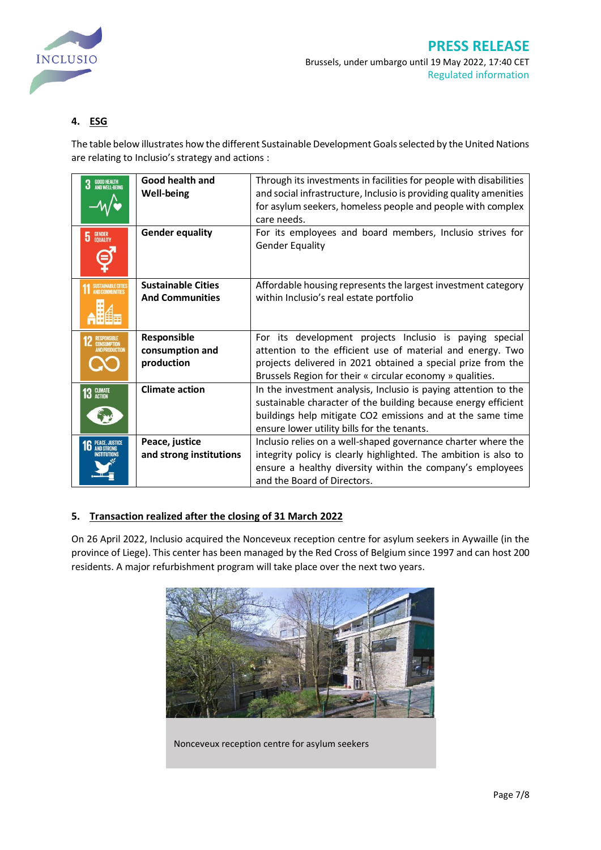

## <span id="page-6-0"></span>**4. ESG**

The table below illustrates how the different Sustainable Development Goals selected by the United Nations are relating to Inclusio's strategy and actions :

| <b>GOOD HEALTH<br/>AND WELL-BEING</b><br>3 | Good health and<br><b>Well-being</b>                | Through its investments in facilities for people with disabilities<br>and social infrastructure, Inclusio is providing quality amenities<br>for asylum seekers, homeless people and people with complex<br>care needs.                             |
|--------------------------------------------|-----------------------------------------------------|----------------------------------------------------------------------------------------------------------------------------------------------------------------------------------------------------------------------------------------------------|
| <b>GENDER</b><br>EQUALITY<br>5             | <b>Gender equality</b>                              | For its employees and board members, Inclusio strives for<br><b>Gender Equality</b>                                                                                                                                                                |
| SUSTAINABLE CITIES                         | <b>Sustainable Cities</b><br><b>And Communities</b> | Affordable housing represents the largest investment category<br>within Inclusio's real estate portfolio                                                                                                                                           |
|                                            | Responsible<br>consumption and<br>production        | For its development projects Inclusio is paying special<br>attention to the efficient use of material and energy. Two<br>projects delivered in 2021 obtained a special prize from the<br>Brussels Region for their « circular economy » qualities. |
| 13 GLIMATE                                 | <b>Climate action</b>                               | In the investment analysis, Inclusio is paying attention to the<br>sustainable character of the building because energy efficient<br>buildings help mitigate CO2 emissions and at the same time<br>ensure lower utility bills for the tenants.     |
|                                            | Peace, justice<br>and strong institutions           | Inclusio relies on a well-shaped governance charter where the<br>integrity policy is clearly highlighted. The ambition is also to<br>ensure a healthy diversity within the company's employees<br>and the Board of Directors.                      |

### <span id="page-6-1"></span>**5. Transaction realized after the closing of 31 March 2022**

On 26 April 2022, Inclusio acquired the Nonceveux reception centre for asylum seekers in Aywaille (in the province of Liege). This center has been managed by the Red Cross of Belgium since 1997 and can host 200 residents. A major refurbishment program will take place over the next two years.



Nonceveux reception centre for asylum seekers